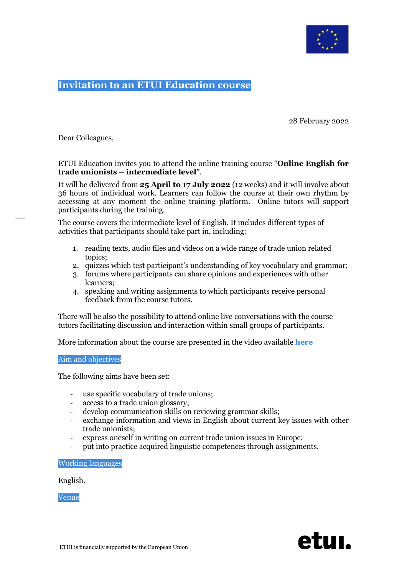

# **Invitation to an ETUI Education course**

28 February 2022

Dear Colleagues,

## ETUI Education invites you to attend the online training course "**Online English for trade unionists – intermediate level**".

It will be delivered from **25 April to 17 July 2022** (12 weeks) and it will involve about 36 hours of individual work. Learners can follow the course at their own rhythm by accessing at any moment the online training platform. Online tutors will support participants during the training.

The course covers the intermediate level of English. It includes different types of activities that participants should take part in, including:

- 1. reading texts, audio files and videos on a wide range of trade union related topics;
- 2. quizzes which test participant's understanding of key vocabulary and grammar;
- 3. forums where participants can share opinions and experiences with other learners;
- 4. speaking and writing assignments to which participants receive personal feedback from the course tutors.

There will be also the possibility to attend online live conversations with the course tutors facilitating discussion and interaction within small groups of participants.

More information about the course are presented in the video available **[here](https://www.youtube.com/watch?v=kihzY7q4zpc)**

#### Aim and objectives

The following aims have been set:

- use specific vocabulary of trade unions;
- access to a trade union glossary;
- develop communication skills on reviewing grammar skills;
- exchange information and views in English about current key issues with other trade unionists;
- express oneself in writing on current trade union issues in Europe;
- put into practice acquired linguistic competences through assignments.

Working languages

English.

Venue